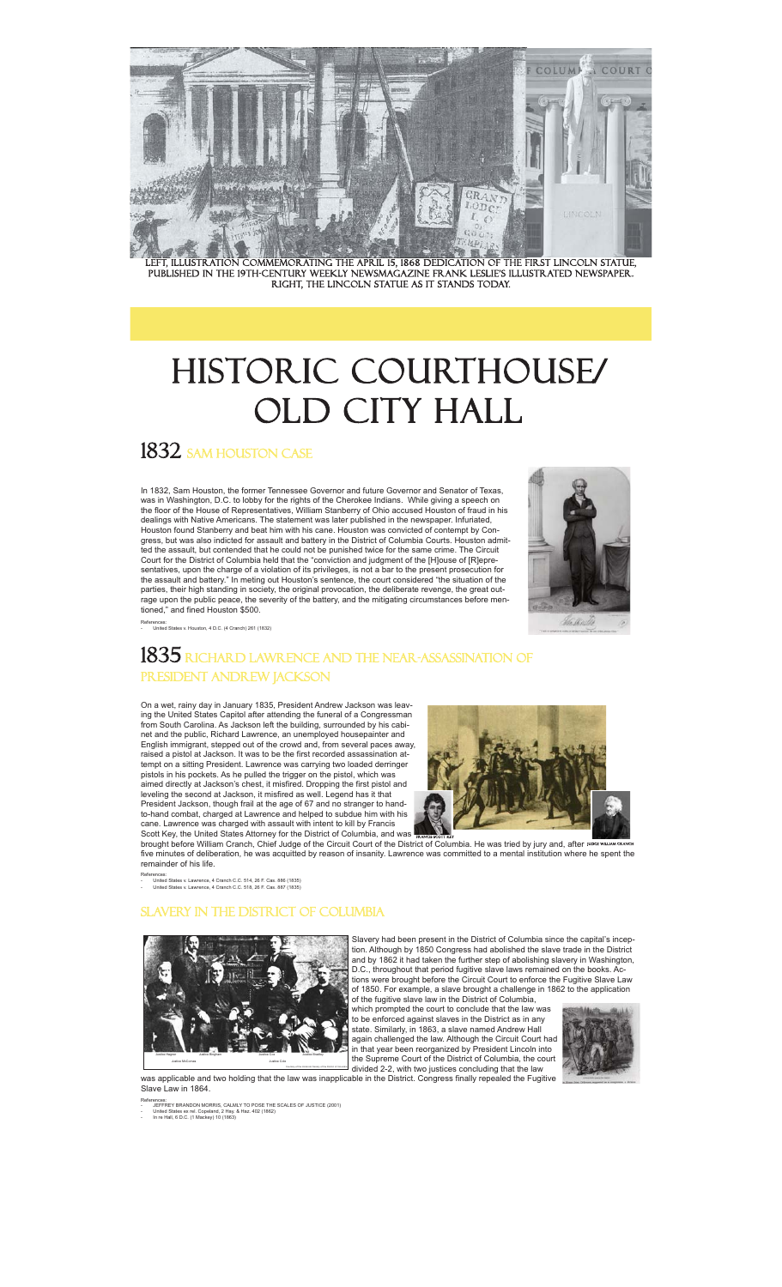

Left, illustration commemorating the april 15, 1868 dedication of the first lincoln statue, published in the 19th-century weekly newsmagazine Frank Leslie's illustrated newspaper. Right, the Lincoln statue as it stands today.

# HISTORIC COURTHOUSE/ old city hall

## 1832 SAM HOUSTON CASE

In 1832, Sam Houston, the former Tennessee Governor and future Governor and Senator of Texas, was in Washington, D.C. to lobby for the rights of the Cherokee Indians. While giving a speech on the floor of the House of Representatives, William Stanberry of Ohio accused Houston of fraud in his dealings with Native Americans. The statement was later published in the newspaper. Infuriated, Houston found Stanberry and beat him with his cane. Houston was convicted of contempt by Con-gress, but was also indicted for assault and battery in the District of Columbia Courts. Houston admitted the assault, but contended that he could not be punished twice for the same crime. The Circuit Court for the District of Columbia held that the "conviction and judgment of the [H]ouse of [R]epre-sentatives, upon the charge of a violation of its privileges, is not a bar to the present prosecution for the assault and battery." In meting out Houston's sentence, the court considered "the situation of the parties, their high standing in society, the original provocation, the deliberate revenge, the great outrage upon the public peace, the severity of the battery, and the mitigating circumstances before mentioned," and fined Houston \$500.

References: - United States v. Houston, 4 D.C. (4 Cranch) 261 (1832)

### $1835\,$  Richard lawrence and the near-assassination of President Andrew Jackson

On a wet, rainy day in January 1835, President Andrew Jackson was leaving the United States Capitol after attending the funeral of a Congressman from South Carolina. As Jackson left the building, surrounded by his cabi-net and the public, Richard Lawrence, an unemployed housepainter and English immigrant, stepped out of the crowd and, from several paces away, raised a pistol at Jackson. It was to be the first recorded assassination attempt on a sitting President. Lawrence was carrying two loaded derringer pistols in his pockets. As he pulled the trigger on the pistol, which was aimed directly at Jackson's chest, it misfired. Dropping the first pistol and leveling the second at Jackson, it misfired as well. Legend has it that President Jackson, though frail at the age of 67 and no stranger to hand-to-hand combat, charged at Lawrence and helped to subdue him with his



five minutes of deliberation, he was acquitted by reason of insanity. Lawrence was committed to a mental institution where he spent the remainder of his life. judge WILLIAM CRANCH

- United States v. Lawrence, 4 Cranch C.C. 514, 26 F. Cas. 886 (1835) - United States v. Lawrence, 4 Cranch C.C. 518, 26 F. Cas. 887 (1835)

References:

#### **NVERY IN THE DISTRICT OF COLUMBIA**



Slavery had been present in the District of Columbia since the capital's inception. Although by 1850 Congress had abolished the slave trade in the District and by 1862 it had taken the further step of abolishing slavery in Washington, D.C., throughout that period fugitive slave laws remained on the books. Ac-tions were brought before the Circuit Court to enforce the Fugitive Slave Law of 1850. For example, a slave brought a challenge in 1862 to the application of the fugitive slave law in the District of Columbia,

which prompted the court to conclude that the law was to be enforced against slaves in the District as in any state. Similarly, in 1863, a slave named Andrew Hall again challenged the law. Although the Circuit Court had in that year been reorganized by President Lincoln into the Supreme Court of the District of Columbia, the court divided 2-2, with two justices concluding that the law



was applicable and two holding that the law was inapplicable in the District. Congress finally repealed the Fugitiv Slave Law in 1864.

References:<br>- JEFFREY BRANDON MORRIS, CALMLY TO POSE THE SCALES OF JUSTICE (2001)<br>- Inited States ex rel. Copeland, 2 Hay. & Haz. 402 (1862)<br>- In re Hall, 6 D.C. (1 Mackey) 10 (1863)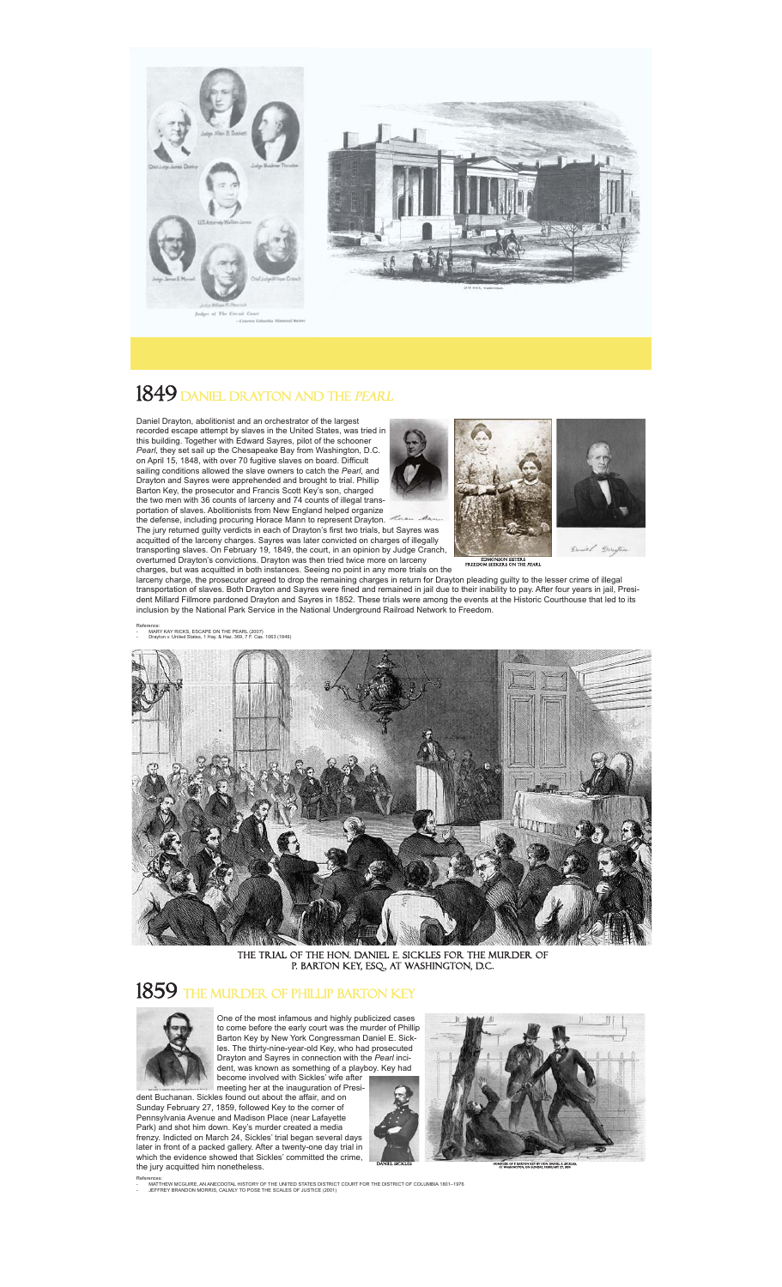



## 1849 daniel drayton and the *pearl*

Daniel Drayton, abolitionist and an orchestrator of the largest recorded escape attempt by slaves in the United States, was tried in this building. Together with Edward Sayres, pilot of the schooner<br>*Pearl*, they set sail up the Chesapeake Bay from Washington, D.C.<br>on April 15, 1848, with over 70 fugitive slaves on board. Difficult sailing conditions allowed the slave owners to catch the *Pearl*, and Drayton and Sayres were apprehended and brought to trial. Phillip Barton Key, the prosecutor and Francis Scott Key's son, charged the two men with 36 counts of larceny and 74 counts of illegal trans-

portation of slaves. Abolitionists from New England helped organize the defense, including procuring Horace Mann to represent Drayton. The jury returned guilty verdicts in each of Drayton's first two trials, but Sayres was acquitted of the larceny charges. Sayres was later convicted on charges of illegally transporting slaves. On February 19, 1849, the court, in an opinion by Judge Cranch,<br>overturned Drayton's convictions. Drayton was then tried twice more on larceny<br>charges, but was acquitted in both instances. Seeing no po

Edmonson Sisters Freedom seekers on the pearl

larceny charge, the prosecutor agreed to drop the remaining charges in return for Drayton pleading guilty to the lesser crime of illegal<br>transportation of slaves. Both Drayton and Sayres were fined and remained in jail due dent Millard Fillmore pardoned Drayton and Sayres in 1852. These trials were among the events at the Historic Courthouse that led to its inclusion by the National Park Service in the National Underground Railroad Network to Freedom.

- MARY KAY RICKS, ESCAPE ON THE PEARL (2007) - Drayton v. United States, 1 Hay. & Haz. 369, 7 F. Cas. 1063 (1849)

Reference:



tHE TRIAL OF THE HON. DANIEL E. SICKLES FOR the MURDER OF P. BARTON KEY, ESO., AT WASHINGTON, D.C.

#### $1859\,$  the murder of Phillip barton Key



One of the most infamous and highly publicized c to come before the early court was the murder of Phillip Barton Key by New York Congressman Daniel E. Sickles. The thirty-nine-year-old Key, who had prosecuted Drayton and Sayres in connection with the *Pearl* inci-dent, was known as something of a playboy. Key had

become involved with Sickles' wife after meeting her at the inauguration of President Buchanan. Sickles found out about the affair, and on

Sunday February 27, 1859, followed Key to the corner of Pennsylvania Avenue and Madison Place (near Lafayette Park) and shot him down. Key's murder created a media frenzy. Indicted on March 24, Sickles' trial began several days later in front of a packed gallery. After a twenty-one day trial in which the evidence showed that Sickles' committed the crime. the jury acquitted him nonetheless.





HOMICIDE OF P. BARTON KEY BY HON. DANIEL E. SICKLES, AT WASHINGTON, ON SUNDAY, FEBRUARY 27, 1859

References:<br>- MATTHEW MCGUIRE, AN ANECDOTAL HISTORY OF THE UNITED STATES DISTRICT COURT FOR THE DISTRICT OF COLUMBIA 1801–1976<br>- JEFFREY BRANDON MORRIS, CALMLY TO POSE THE SCALES OF JUSTICE (2001)